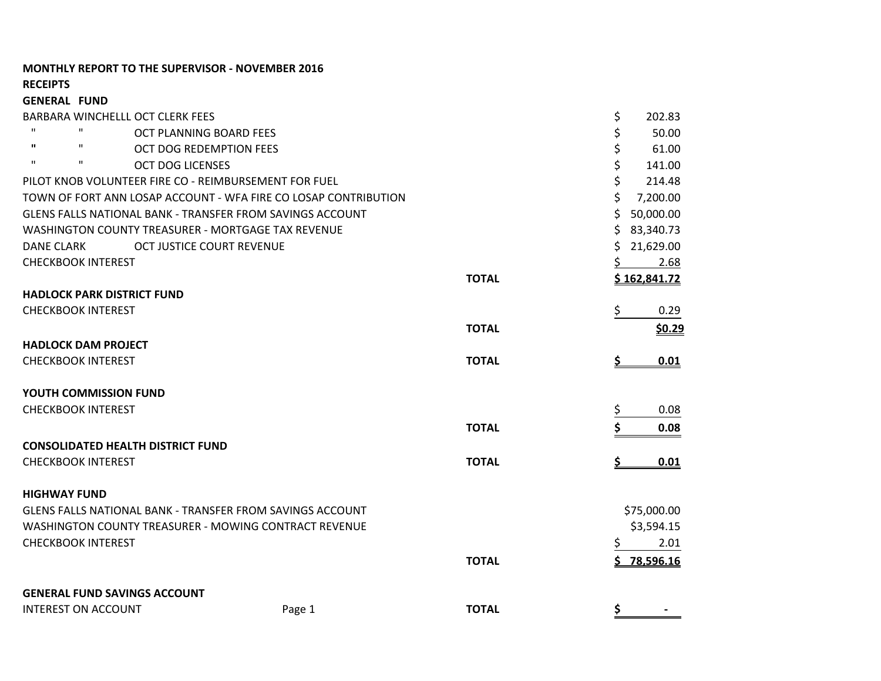| <b>RECEIPTS</b>                   |                                          |                                                                  |              |                 |
|-----------------------------------|------------------------------------------|------------------------------------------------------------------|--------------|-----------------|
| <b>GENERAL FUND</b>               |                                          |                                                                  |              |                 |
|                                   | <b>BARBARA WINCHELLL OCT CLERK FEES</b>  |                                                                  |              | \$<br>202.83    |
| $\mathbf{H}$<br>$\mathbf H$       | OCT PLANNING BOARD FEES                  |                                                                  |              | \$<br>50.00     |
| $\mathbf{u}$<br>$\mathbf H$       | OCT DOG REDEMPTION FEES                  |                                                                  |              | \$<br>61.00     |
| $\mathbf{H}$<br>$\mathbf H$       | <b>OCT DOG LICENSES</b>                  |                                                                  |              | \$<br>141.00    |
|                                   |                                          | PILOT KNOB VOLUNTEER FIRE CO - REIMBURSEMENT FOR FUEL            |              | \$<br>214.48    |
|                                   |                                          | TOWN OF FORT ANN LOSAP ACCOUNT - WFA FIRE CO LOSAP CONTRIBUTION  |              | Ś<br>7,200.00   |
|                                   |                                          | GLENS FALLS NATIONAL BANK - TRANSFER FROM SAVINGS ACCOUNT        |              | 50,000.00<br>\$ |
|                                   |                                          | WASHINGTON COUNTY TREASURER - MORTGAGE TAX REVENUE               |              | \$<br>83,340.73 |
| DANE CLARK                        | OCT JUSTICE COURT REVENUE                |                                                                  |              | 21,629.00<br>S  |
| <b>CHECKBOOK INTEREST</b>         |                                          |                                                                  |              | 2.68<br>S.      |
|                                   |                                          |                                                                  | <b>TOTAL</b> | \$162,841.72    |
| <b>HADLOCK PARK DISTRICT FUND</b> |                                          |                                                                  |              |                 |
| <b>CHECKBOOK INTEREST</b>         |                                          |                                                                  |              | \$<br>0.29      |
|                                   |                                          |                                                                  | <b>TOTAL</b> | \$0.29          |
| <b>HADLOCK DAM PROJECT</b>        |                                          |                                                                  |              |                 |
| <b>CHECKBOOK INTEREST</b>         |                                          |                                                                  | <b>TOTAL</b> | 0.01            |
| YOUTH COMMISSION FUND             |                                          |                                                                  |              |                 |
| <b>CHECKBOOK INTEREST</b>         |                                          |                                                                  |              | 0.08            |
|                                   |                                          |                                                                  | <b>TOTAL</b> | 0.08            |
|                                   | <b>CONSOLIDATED HEALTH DISTRICT FUND</b> |                                                                  |              |                 |
| <b>CHECKBOOK INTEREST</b>         |                                          |                                                                  | <b>TOTAL</b> | 0.01            |
| <b>HIGHWAY FUND</b>               |                                          |                                                                  |              |                 |
|                                   |                                          | <b>GLENS FALLS NATIONAL BANK - TRANSFER FROM SAVINGS ACCOUNT</b> |              | \$75,000.00     |
|                                   |                                          | WASHINGTON COUNTY TREASURER - MOWING CONTRACT REVENUE            |              | \$3,594.15      |
| <b>CHECKBOOK INTEREST</b>         |                                          |                                                                  |              | 2.01<br>\$      |
|                                   |                                          |                                                                  | <b>TOTAL</b> | $5$ 78,596.16   |
|                                   | <b>GENERAL FUND SAVINGS ACCOUNT</b>      |                                                                  |              |                 |
| <b>INTEREST ON ACCOUNT</b>        |                                          | Page 1                                                           | <b>TOTAL</b> | \$              |

**MONTHLY REPORT TO THE SUPERVISOR - NOVEMBER 2016**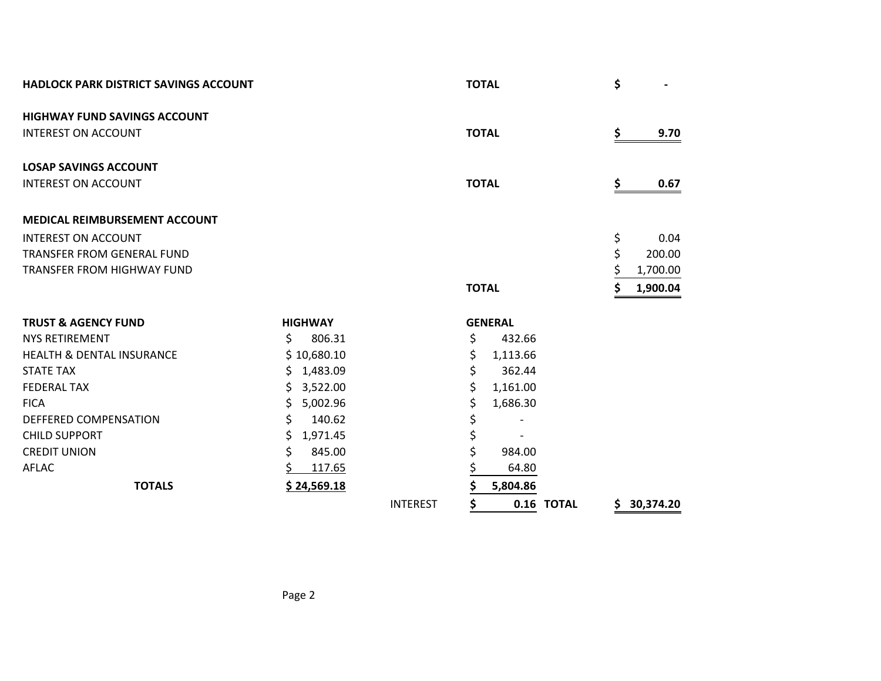| <b>HADLOCK PARK DISTRICT SAVINGS ACCOUNT</b> |                |             |                 | <b>TOTAL</b> |                |            | \$ |             |
|----------------------------------------------|----------------|-------------|-----------------|--------------|----------------|------------|----|-------------|
| <b>HIGHWAY FUND SAVINGS ACCOUNT</b>          |                |             |                 |              |                |            |    |             |
| <b>INTEREST ON ACCOUNT</b>                   |                |             |                 | <b>TOTAL</b> |                |            | \$ | 9.70        |
| <b>LOSAP SAVINGS ACCOUNT</b>                 |                |             |                 |              |                |            |    |             |
| <b>INTEREST ON ACCOUNT</b>                   |                |             |                 | <b>TOTAL</b> |                |            | \$ | 0.67        |
| <b>MEDICAL REIMBURSEMENT ACCOUNT</b>         |                |             |                 |              |                |            |    |             |
| <b>INTEREST ON ACCOUNT</b>                   |                |             |                 |              |                |            | \$ | 0.04        |
| TRANSFER FROM GENERAL FUND                   |                |             |                 |              |                |            | \$ | 200.00      |
| <b>TRANSFER FROM HIGHWAY FUND</b>            |                |             |                 |              |                |            |    | 1,700.00    |
|                                              |                |             |                 | <b>TOTAL</b> |                |            | Ś  | 1,900.04    |
| <b>TRUST &amp; AGENCY FUND</b>               | <b>HIGHWAY</b> |             |                 |              | <b>GENERAL</b> |            |    |             |
| <b>NYS RETIREMENT</b>                        | \$.            | 806.31      |                 | \$           | 432.66         |            |    |             |
| <b>HEALTH &amp; DENTAL INSURANCE</b>         |                | \$10,680.10 |                 | \$           | 1,113.66       |            |    |             |
| <b>STATE TAX</b>                             |                | \$1,483.09  |                 | \$           | 362.44         |            |    |             |
| <b>FEDERAL TAX</b>                           |                | \$3,522.00  |                 | \$           | 1,161.00       |            |    |             |
| <b>FICA</b>                                  | \$             | 5,002.96    |                 | \$           | 1,686.30       |            |    |             |
| DEFFERED COMPENSATION                        | \$             | 140.62      |                 | \$           |                |            |    |             |
| <b>CHILD SUPPORT</b>                         | S              | 1,971.45    |                 | \$           |                |            |    |             |
| <b>CREDIT UNION</b>                          | \$             | 845.00      |                 | \$           | 984.00         |            |    |             |
| <b>AFLAC</b>                                 |                | 117.65      |                 | \$           | 64.80          |            |    |             |
| <b>TOTALS</b>                                |                | \$24,569.18 |                 | \$           | 5,804.86       |            |    |             |
|                                              |                |             | <b>INTEREST</b> | \$           |                | 0.16 TOTAL |    | \$30,374.20 |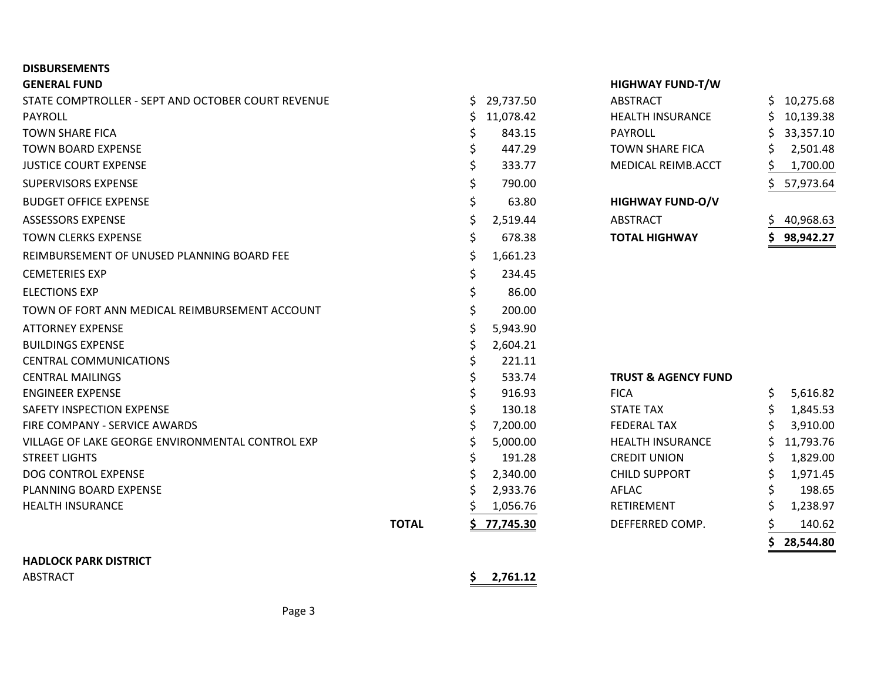# **DISBURSEMENTS**

## **GENERAL FUND HIGHWAY FUND-T/W**

| STATE COMPTROLLER - SEPT AND OCTOBER COURT REVENUE |              | S  | 29,737.50 | ABSTRACT                       |    | 10,275.68 |
|----------------------------------------------------|--------------|----|-----------|--------------------------------|----|-----------|
| PAYROLL                                            |              |    | 11,078.42 | <b>HEALTH INSURANCE</b>        |    | 10,139.38 |
| <b>TOWN SHARE FICA</b>                             |              |    | 843.15    | PAYROLL                        |    | 33,357.10 |
| <b>TOWN BOARD EXPENSE</b>                          |              | \$ | 447.29    | <b>TOWN SHARE FICA</b>         |    | 2,501.48  |
| <b>JUSTICE COURT EXPENSE</b>                       |              | \$ | 333.77    | MEDICAL REIMB.ACCT             |    | 1,700.00  |
| <b>SUPERVISORS EXPENSE</b>                         |              |    | 790.00    |                                |    | 57,973.64 |
| <b>BUDGET OFFICE EXPENSE</b>                       |              | \$ | 63.80     | <b>HIGHWAY FUND-O/V</b>        |    |           |
| <b>ASSESSORS EXPENSE</b>                           |              |    | 2,519.44  | <b>ABSTRACT</b>                |    | 40,968.63 |
| <b>TOWN CLERKS EXPENSE</b>                         |              | \$ | 678.38    | <b>TOTAL HIGHWAY</b>           |    | 98,942.27 |
| REIMBURSEMENT OF UNUSED PLANNING BOARD FEE         |              | Ş  | 1,661.23  |                                |    |           |
| <b>CEMETERIES EXP</b>                              |              | \$ | 234.45    |                                |    |           |
| <b>ELECTIONS EXP</b>                               |              | \$ | 86.00     |                                |    |           |
| TOWN OF FORT ANN MEDICAL REIMBURSEMENT ACCOUNT     |              | \$ | 200.00    |                                |    |           |
| <b>ATTORNEY EXPENSE</b>                            |              | \$ | 5,943.90  |                                |    |           |
| <b>BUILDINGS EXPENSE</b>                           |              |    | 2,604.21  |                                |    |           |
| <b>CENTRAL COMMUNICATIONS</b>                      |              |    | 221.11    |                                |    |           |
| <b>CENTRAL MAILINGS</b>                            |              | \$ | 533.74    | <b>TRUST &amp; AGENCY FUND</b> |    |           |
| <b>ENGINEER EXPENSE</b>                            |              |    | 916.93    | <b>FICA</b>                    | Ś. | 5,616.82  |
| SAFETY INSPECTION EXPENSE                          |              |    | 130.18    | <b>STATE TAX</b>               |    | 1,845.53  |
| FIRE COMPANY - SERVICE AWARDS                      |              |    | 7,200.00  | <b>FEDERAL TAX</b>             |    | 3,910.00  |
| VILLAGE OF LAKE GEORGE ENVIRONMENTAL CONTROL EXP   |              |    | 5,000.00  | <b>HEALTH INSURANCE</b>        |    | 11,793.76 |
| <b>STREET LIGHTS</b>                               |              |    | 191.28    | <b>CREDIT UNION</b>            |    | 1,829.00  |
| DOG CONTROL EXPENSE                                |              |    | 2,340.00  | <b>CHILD SUPPORT</b>           |    | 1,971.45  |
| PLANNING BOARD EXPENSE                             |              |    | 2,933.76  | AFLAC                          |    | 198.65    |
| <b>HEALTH INSURANCE</b>                            |              |    | 1,056.76  | <b>RETIREMENT</b>              |    | 1,238.97  |
|                                                    | <b>TOTAL</b> |    | 77,745.30 | DEFFERRED COMP.                |    | 140.62    |
|                                                    |              |    |           |                                |    | 28,544.80 |
|                                                    |              |    |           |                                |    |           |

**HADLOCK PARK DISTRICT**

ABSTRACT **\$ 2,761.12**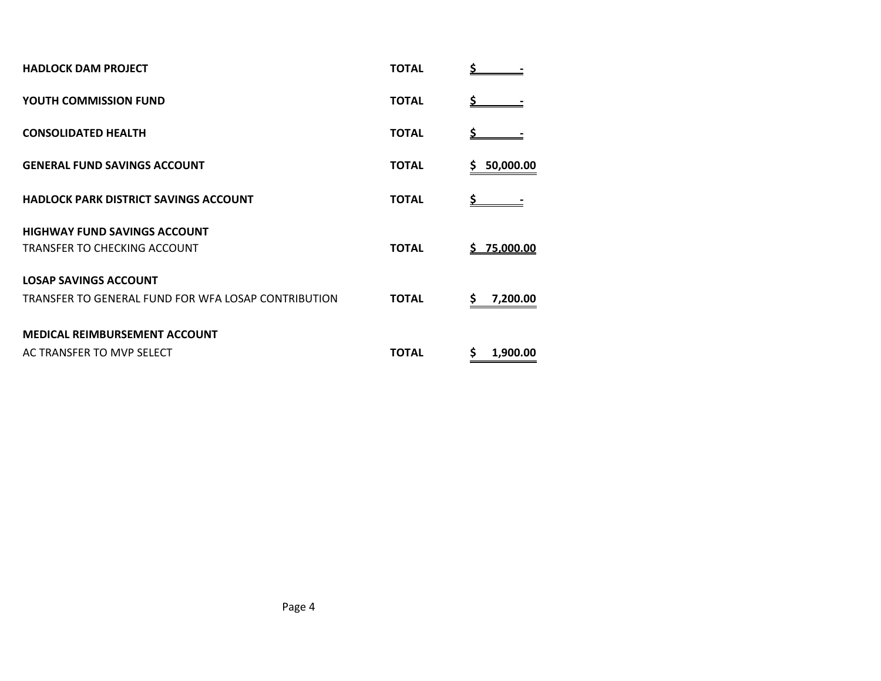| <b>HADLOCK DAM PROJECT</b>                          | <b>TOTAL</b> |                 |
|-----------------------------------------------------|--------------|-----------------|
| <b>YOUTH COMMISSION FUND</b>                        | <b>TOTAL</b> |                 |
| <b>CONSOLIDATED HEALTH</b>                          | <b>TOTAL</b> |                 |
| <b>GENERAL FUND SAVINGS ACCOUNT</b>                 | <b>TOTAL</b> | 50,000.00<br>\$ |
| <b>HADLOCK PARK DISTRICT SAVINGS ACCOUNT</b>        | <b>TOTAL</b> |                 |
| <b>HIGHWAY FUND SAVINGS ACCOUNT</b>                 |              |                 |
| TRANSFER TO CHECKING ACCOUNT                        | <b>TOTAL</b> | \$75,000.00     |
| <b>LOSAP SAVINGS ACCOUNT</b>                        |              |                 |
| TRANSFER TO GENERAL FUND FOR WFA LOSAP CONTRIBUTION | <b>TOTAL</b> | 7,200.00        |
| MEDICAL REIMBURSEMENT ACCOUNT                       |              |                 |
| AC TRANSFER TO MVP SELECT                           | <b>TOTAL</b> | \$<br>1,900.00  |